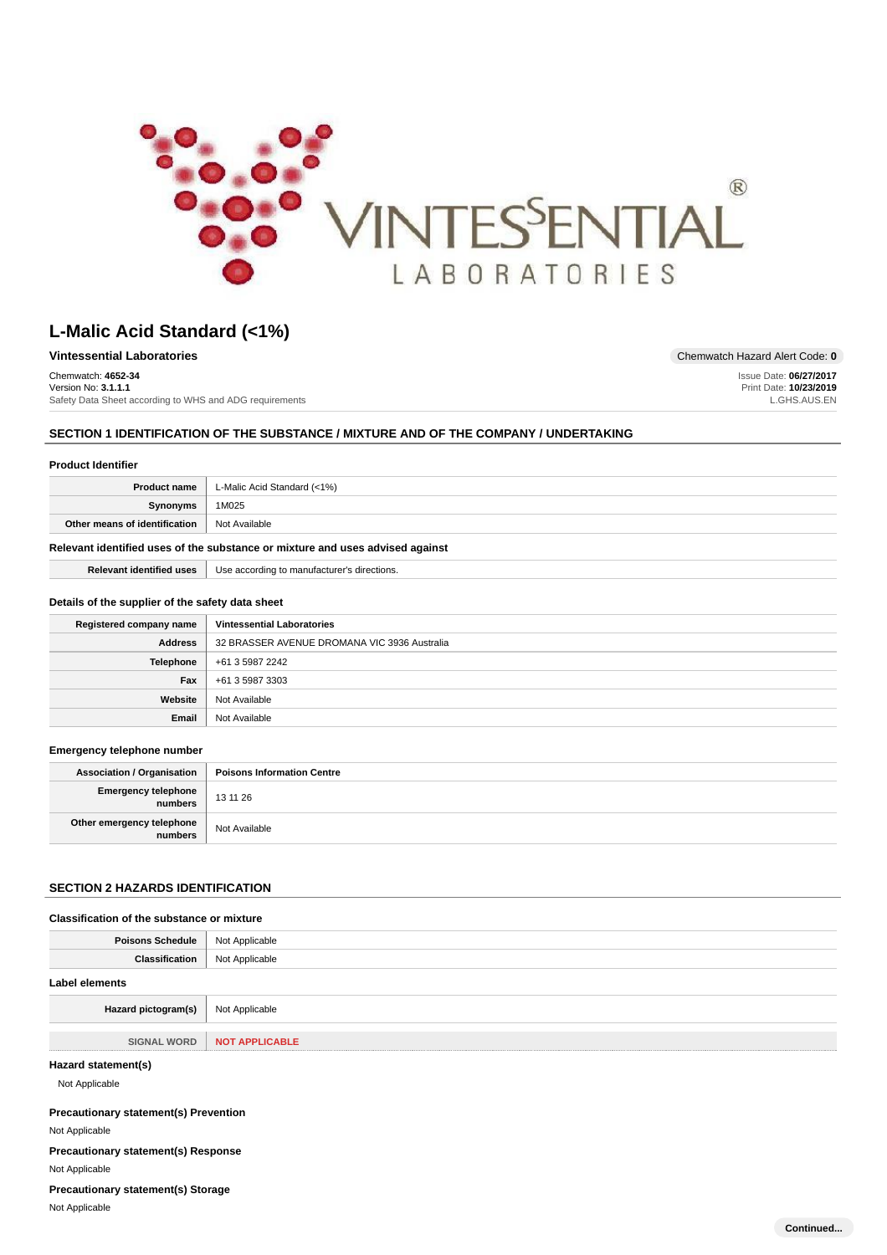

Chemwatch: **4652-34** Version No: **3.1.1.1** Safety Data Sheet according to WHS and ADG requirements

**Vintessential Laboratories** Chemwatch Hazard Alert Code: **0**

Issue Date: **06/27/2017** Print Date: **10/23/2019** L.GHS.AUS.EN

# **SECTION 1 IDENTIFICATION OF THE SUBSTANCE / MIXTURE AND OF THE COMPANY / UNDERTAKING**

#### **Product Identifier**

| <b>Product name</b>                                                           | L-Malic Acid Standard (<1%)                 |  |  |
|-------------------------------------------------------------------------------|---------------------------------------------|--|--|
| Synonyms                                                                      | 1M025                                       |  |  |
| Other means of identification                                                 | Not Available                               |  |  |
| Relevant identified uses of the substance or mixture and uses advised against |                                             |  |  |
| <b>Relevant identified uses</b>                                               | Use according to manufacturer's directions. |  |  |

#### **Details of the supplier of the safety data sheet**

| Registered company name | <b>Vintessential Laboratories</b>            |
|-------------------------|----------------------------------------------|
| <b>Address</b>          | 32 BRASSER AVENUE DROMANA VIC 3936 Australia |
| Telephone               | +61 3 5987 2242                              |
| Fax                     | +61 3 5987 3303                              |
| Website                 | Not Available                                |
| Email                   | Not Available                                |

#### **Emergency telephone number**

| <b>Association / Organisation</b>      | <b>Poisons Information Centre</b> |
|----------------------------------------|-----------------------------------|
| Emergency telephone<br>numbers         | 13 11 26                          |
| Other emergency telephone<br>  numbers | Not Available                     |

# **SECTION 2 HAZARDS IDENTIFICATION**

#### **Classification of the substance or mixture**

| <b>Poisons Schedule</b> | Not Applicable        |
|-------------------------|-----------------------|
| Classification          | Not Applicable        |
| <b>Label elements</b>   |                       |
| Hazard pictogram(s)     | Not Applicable        |
| <b>SIGNAL WORD</b>      | <b>NOT APPLICABLE</b> |
| Hazard statement(s)     |                       |
| Not Applicable          |                       |

#### **Precautionary statement(s) Prevention**

Not Applicable

**Precautionary statement(s) Response**

Not Applicable

**Precautionary statement(s) Storage**

Not Applicable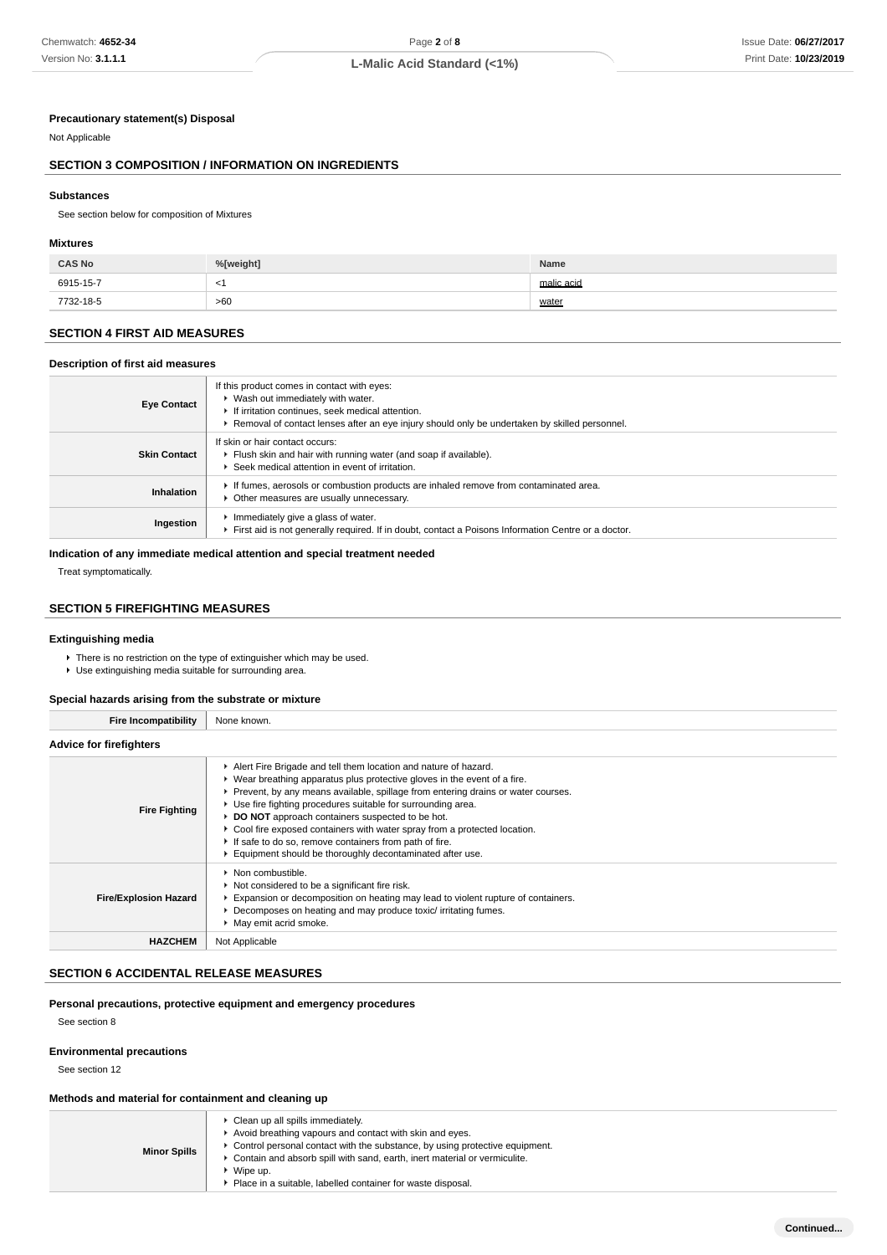#### **Precautionary statement(s) Disposal**

#### Not Applicable

# **SECTION 3 COMPOSITION / INFORMATION ON INGREDIENTS**

#### **Substances**

See section below for composition of Mixtures

#### **Mixtures**

| <b>CAS No</b> | %[weight] | Name      |  |
|---------------|-----------|-----------|--|
| 6915-15-7     | $\leq$    | malic aci |  |
| 7732-18-5     | >60       | water     |  |

## **SECTION 4 FIRST AID MEASURES**

#### **Description of first aid measures**

| <b>Eye Contact</b>  | If this product comes in contact with eyes:<br>▶ Wash out immediately with water.<br>If irritation continues, seek medical attention.<br>Removal of contact lenses after an eye injury should only be undertaken by skilled personnel. |
|---------------------|----------------------------------------------------------------------------------------------------------------------------------------------------------------------------------------------------------------------------------------|
| <b>Skin Contact</b> | If skin or hair contact occurs:<br>Flush skin and hair with running water (and soap if available).<br>Seek medical attention in event of irritation.                                                                                   |
| Inhalation          | If fumes, aerosols or combustion products are inhaled remove from contaminated area.<br>• Other measures are usually unnecessary.                                                                                                      |
| Ingestion           | Immediately give a glass of water.<br>First aid is not generally required. If in doubt, contact a Poisons Information Centre or a doctor.                                                                                              |

## **Indication of any immediate medical attention and special treatment needed**

Treat symptomatically.

## **SECTION 5 FIREFIGHTING MEASURES**

#### **Extinguishing media**

There is no restriction on the type of extinguisher which may be used. Use extinguishing media suitable for surrounding area.

#### **Special hazards arising from the substrate or mixture**

| <b>Fire Incompatibility</b>    | None known.                                                                                                                                                                                                                                                                                                                                                                                                                                                                                                                                                |
|--------------------------------|------------------------------------------------------------------------------------------------------------------------------------------------------------------------------------------------------------------------------------------------------------------------------------------------------------------------------------------------------------------------------------------------------------------------------------------------------------------------------------------------------------------------------------------------------------|
| <b>Advice for firefighters</b> |                                                                                                                                                                                                                                                                                                                                                                                                                                                                                                                                                            |
| <b>Fire Fighting</b>           | Alert Fire Brigade and tell them location and nature of hazard.<br>▶ Wear breathing apparatus plus protective gloves in the event of a fire.<br>▶ Prevent, by any means available, spillage from entering drains or water courses.<br>► Use fire fighting procedures suitable for surrounding area.<br>DO NOT approach containers suspected to be hot.<br>▶ Cool fire exposed containers with water spray from a protected location.<br>If safe to do so, remove containers from path of fire.<br>Equipment should be thoroughly decontaminated after use. |
| <b>Fire/Explosion Hazard</b>   | • Non combustible.<br>Not considered to be a significant fire risk.<br>Expansion or decomposition on heating may lead to violent rupture of containers.<br>▶ Decomposes on heating and may produce toxic/irritating fumes.<br>May emit acrid smoke.                                                                                                                                                                                                                                                                                                        |
| <b>HAZCHEM</b>                 | Not Applicable                                                                                                                                                                                                                                                                                                                                                                                                                                                                                                                                             |

# **SECTION 6 ACCIDENTAL RELEASE MEASURES**

#### **Personal precautions, protective equipment and emergency procedures**

See section 8

## **Environmental precautions**

See section 12

## **Methods and material for containment and cleaning up**

| <b>Minor Spills</b> | • Clean up all spills immediately.<br>Avoid breathing vapours and contact with skin and eyes.<br>► Control personal contact with the substance, by using protective equipment.<br>▶ Contain and absorb spill with sand, earth, inert material or vermiculite.<br>Wipe up.<br>▶ Place in a suitable, labelled container for waste disposal. |
|---------------------|--------------------------------------------------------------------------------------------------------------------------------------------------------------------------------------------------------------------------------------------------------------------------------------------------------------------------------------------|
|                     |                                                                                                                                                                                                                                                                                                                                            |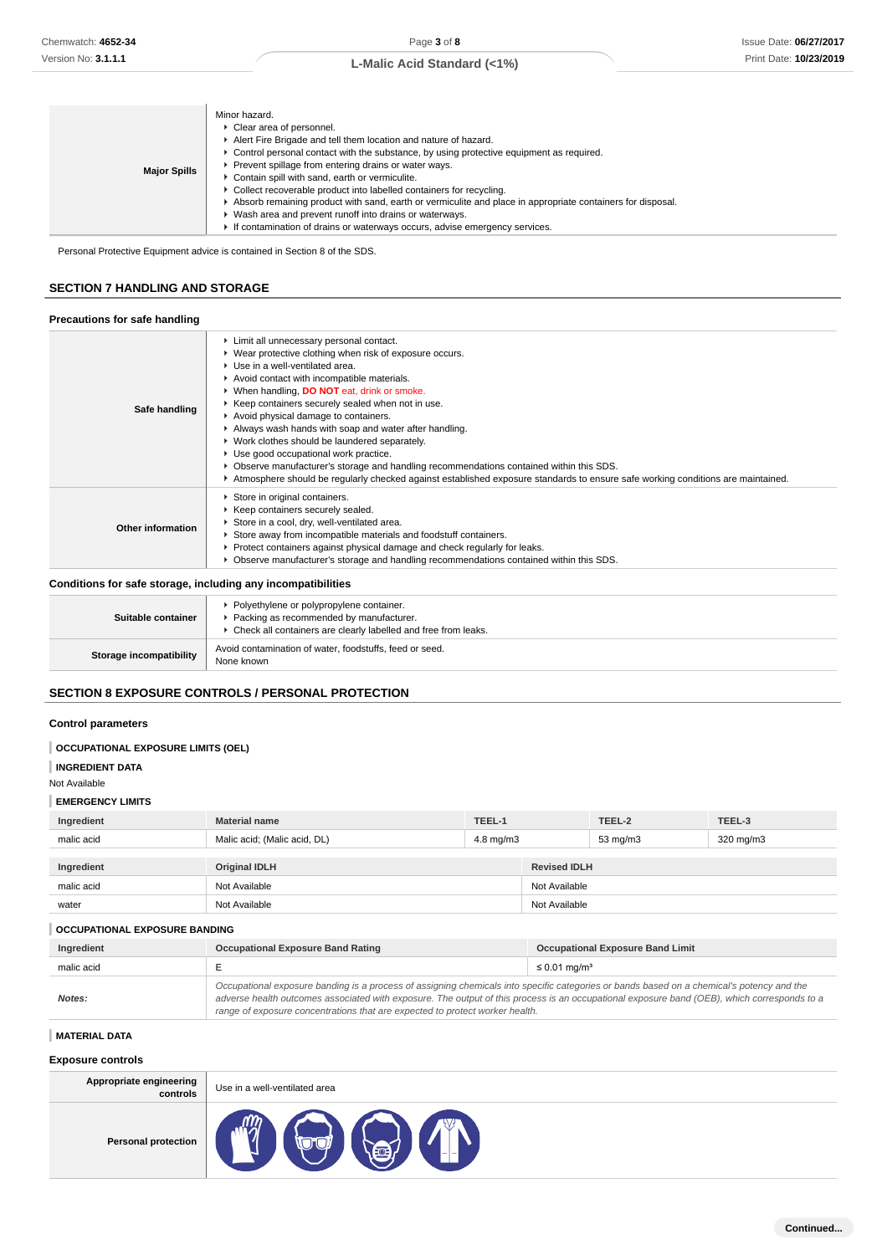| <b>Major Spills</b> | Minor hazard.<br>Clear area of personnel.<br>Alert Fire Brigade and tell them location and nature of hazard.<br>Control personal contact with the substance, by using protective equipment as required.<br>▶ Prevent spillage from entering drains or water ways.<br>Contain spill with sand, earth or vermiculite.<br>• Collect recoverable product into labelled containers for recycling.<br>Absorb remaining product with sand, earth or vermiculite and place in appropriate containers for disposal.<br>▶ Wash area and prevent runoff into drains or waterways.<br>If contamination of drains or waterways occurs, advise emergency services. |
|---------------------|------------------------------------------------------------------------------------------------------------------------------------------------------------------------------------------------------------------------------------------------------------------------------------------------------------------------------------------------------------------------------------------------------------------------------------------------------------------------------------------------------------------------------------------------------------------------------------------------------------------------------------------------------|
|---------------------|------------------------------------------------------------------------------------------------------------------------------------------------------------------------------------------------------------------------------------------------------------------------------------------------------------------------------------------------------------------------------------------------------------------------------------------------------------------------------------------------------------------------------------------------------------------------------------------------------------------------------------------------------|

Personal Protective Equipment advice is contained in Section 8 of the SDS.

## **SECTION 7 HANDLING AND STORAGE**

## **Precautions for safe handling**

| Safe handling     | Limit all unnecessary personal contact.<br>▶ Wear protective clothing when risk of exposure occurs.<br>▶ Use in a well-ventilated area.<br>Avoid contact with incompatible materials.<br>▶ When handling, DO NOT eat, drink or smoke.<br>▶ Keep containers securely sealed when not in use.<br>Avoid physical damage to containers.<br>Always wash hands with soap and water after handling.<br>▶ Work clothes should be laundered separately.<br>▶ Use good occupational work practice.<br>► Observe manufacturer's storage and handling recommendations contained within this SDS.<br>Atmosphere should be regularly checked against established exposure standards to ensure safe working conditions are maintained. |
|-------------------|-------------------------------------------------------------------------------------------------------------------------------------------------------------------------------------------------------------------------------------------------------------------------------------------------------------------------------------------------------------------------------------------------------------------------------------------------------------------------------------------------------------------------------------------------------------------------------------------------------------------------------------------------------------------------------------------------------------------------|
| Other information | Store in original containers.<br>Keep containers securely sealed.<br>Store in a cool, dry, well-ventilated area.<br>Store away from incompatible materials and foodstuff containers.<br>• Protect containers against physical damage and check regularly for leaks.<br>▶ Observe manufacturer's storage and handling recommendations contained within this SDS.                                                                                                                                                                                                                                                                                                                                                         |

## **Conditions for safe storage, including any incompatibilities**

| Suitable container      | • Polyethylene or polypropylene container.<br>▶ Packing as recommended by manufacturer.<br>Check all containers are clearly labelled and free from leaks. |
|-------------------------|-----------------------------------------------------------------------------------------------------------------------------------------------------------|
| Storage incompatibility | Avoid contamination of water, foodstuffs, feed or seed.<br>None known                                                                                     |

# **SECTION 8 EXPOSURE CONTROLS / PERSONAL PROTECTION**

## **Control parameters**

#### **OCCUPATIONAL EXPOSURE LIMITS (OEL)**

## **INGREDIENT DATA**

Not Available

## **EMERGENCY LIMITS**

| Ingredient | <b>Material name</b>         | TEEL-1             |                     | TEEL-2   | TEEL-3    |
|------------|------------------------------|--------------------|---------------------|----------|-----------|
| malic acid | Malic acid; (Malic acid, DL) | $4.8 \text{ mg/m}$ |                     | 53 mg/m3 | 320 mg/m3 |
|            |                              |                    |                     |          |           |
| Ingredient | <b>Original IDLH</b>         |                    | <b>Revised IDLH</b> |          |           |
| malic acid | Not Available                |                    | Not Available       |          |           |
| water      | Not Available                |                    | Not Available       |          |           |

#### **OCCUPATIONAL EXPOSURE BANDING**

| Ingredient | <b>Occupational Exposure Band Rating</b>                                                                                                                                                                                                                                                                                                                                 | <b>Occupational Exposure Band Limit</b> |
|------------|--------------------------------------------------------------------------------------------------------------------------------------------------------------------------------------------------------------------------------------------------------------------------------------------------------------------------------------------------------------------------|-----------------------------------------|
| malic acid |                                                                                                                                                                                                                                                                                                                                                                          | $\leq$ 0.01 mg/m <sup>3</sup>           |
| Notes:     | Occupational exposure banding is a process of assigning chemicals into specific categories or bands based on a chemical's potency and the<br>adverse health outcomes associated with exposure. The output of this process is an occupational exposure band (OEB), which corresponds to a<br>range of exposure concentrations that are expected to protect worker health. |                                         |

## **MATERIAL DATA**

#### **Exposure controls**

| . .                                 |                               |
|-------------------------------------|-------------------------------|
| Appropriate engineering<br>controls | Use in a well-ventilated area |
| <b>Personal protection</b>          |                               |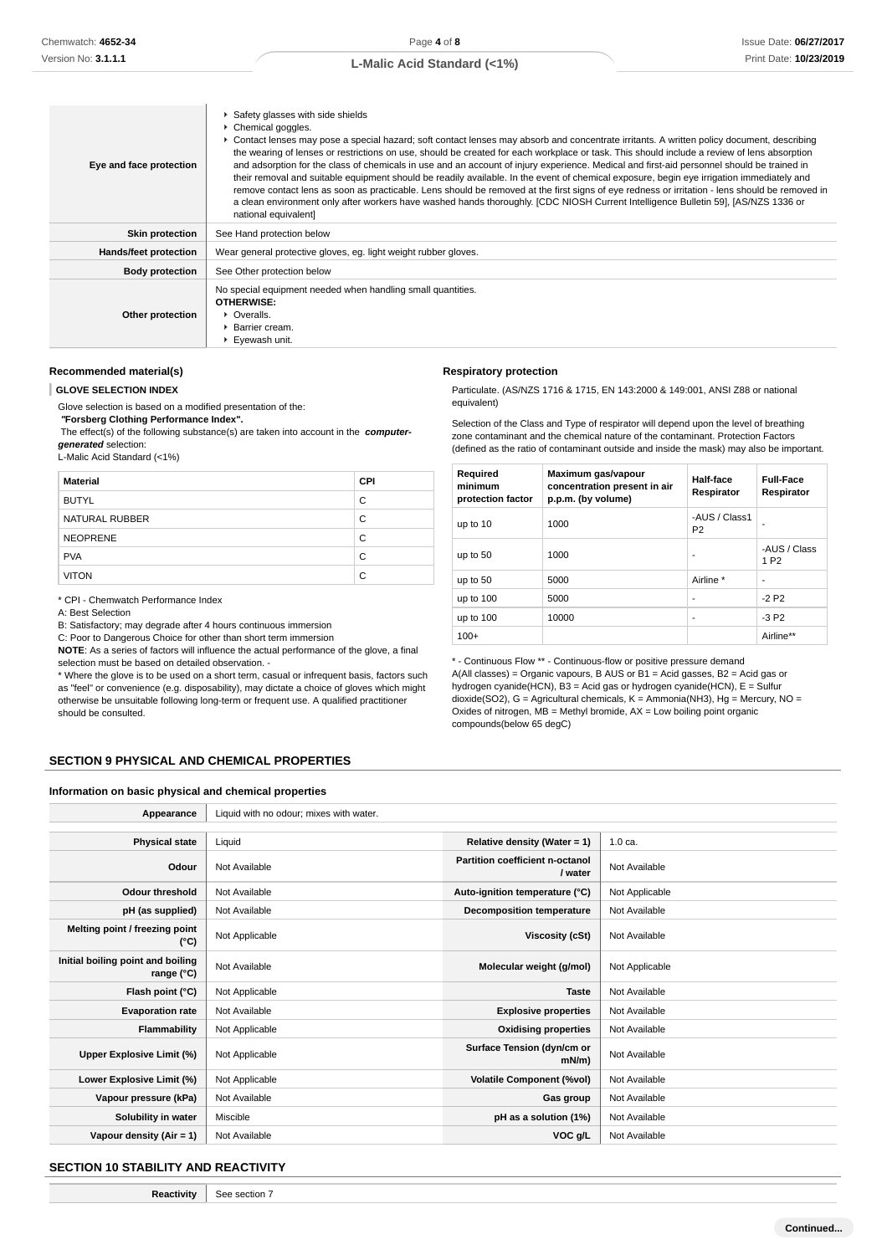| Eye and face protection | ▶ Safety glasses with side shields<br>$\triangleright$ Chemical goggles.<br>► Contact lenses may pose a special hazard; soft contact lenses may absorb and concentrate irritants. A written policy document, describing<br>the wearing of lenses or restrictions on use, should be created for each workplace or task. This should include a review of lens absorption<br>and adsorption for the class of chemicals in use and an account of injury experience. Medical and first-aid personnel should be trained in<br>their removal and suitable equipment should be readily available. In the event of chemical exposure, begin eye irrigation immediately and<br>remove contact lens as soon as practicable. Lens should be removed at the first signs of eye redness or irritation - lens should be removed in<br>a clean environment only after workers have washed hands thoroughly. [CDC NIOSH Current Intelligence Bulletin 59], [AS/NZS 1336 or<br>national equivalent] |
|-------------------------|-----------------------------------------------------------------------------------------------------------------------------------------------------------------------------------------------------------------------------------------------------------------------------------------------------------------------------------------------------------------------------------------------------------------------------------------------------------------------------------------------------------------------------------------------------------------------------------------------------------------------------------------------------------------------------------------------------------------------------------------------------------------------------------------------------------------------------------------------------------------------------------------------------------------------------------------------------------------------------------|
| <b>Skin protection</b>  | See Hand protection below                                                                                                                                                                                                                                                                                                                                                                                                                                                                                                                                                                                                                                                                                                                                                                                                                                                                                                                                                         |
| Hands/feet protection   | Wear general protective gloves, eg. light weight rubber gloves.                                                                                                                                                                                                                                                                                                                                                                                                                                                                                                                                                                                                                                                                                                                                                                                                                                                                                                                   |
| <b>Body protection</b>  | See Other protection below                                                                                                                                                                                                                                                                                                                                                                                                                                                                                                                                                                                                                                                                                                                                                                                                                                                                                                                                                        |
| Other protection        | No special equipment needed when handling small quantities.<br><b>OTHERWISE:</b><br>• Overalls.<br>▶ Barrier cream.<br>Eyewash unit.                                                                                                                                                                                                                                                                                                                                                                                                                                                                                                                                                                                                                                                                                                                                                                                                                                              |

### **Recommended material(s)**

#### **GLOVE SELECTION INDEX**

Glove selection is based on a modified presentation of the:

 **"Forsberg Clothing Performance Index".**

 The effect(s) of the following substance(s) are taken into account in the **computergenerated** selection:

#### L-Malic Acid Standard (<1%)

| <b>Material</b> | <b>CPI</b> |
|-----------------|------------|
| <b>BUTYL</b>    | C          |
| NATURAL RUBBER  | C          |
| <b>NEOPRENE</b> | C          |
| <b>PVA</b>      | C          |
| <b>VITON</b>    | C          |

\* CPI - Chemwatch Performance Index

A: Best Selection

B: Satisfactory; may degrade after 4 hours continuous immersion

C: Poor to Dangerous Choice for other than short term immersion

**NOTE**: As a series of factors will influence the actual performance of the glove, a final selection must be based on detailed observation. -

\* Where the glove is to be used on a short term, casual or infrequent basis, factors such as "feel" or convenience (e.g. disposability), may dictate a choice of gloves which might otherwise be unsuitable following long-term or frequent use. A qualified practitioner should be consulted.

#### **SECTION 9 PHYSICAL AND CHEMICAL PROPERTIES**

#### **Information on basic physical and chemical properties**

| Appearance                                      | Liquid with no odour; mixes with water. |                                            |                |
|-------------------------------------------------|-----------------------------------------|--------------------------------------------|----------------|
|                                                 |                                         |                                            |                |
| <b>Physical state</b>                           | Liquid                                  | Relative density (Water = $1$ )            | $1.0ca$ .      |
| Odour                                           | Not Available                           | Partition coefficient n-octanol<br>/ water | Not Available  |
| Odour threshold                                 | Not Available                           | Auto-ignition temperature (°C)             | Not Applicable |
| pH (as supplied)                                | Not Available                           | <b>Decomposition temperature</b>           | Not Available  |
| Melting point / freezing point<br>(°C)          | Not Applicable                          | Viscosity (cSt)                            | Not Available  |
| Initial boiling point and boiling<br>range (°C) | Not Available                           | Molecular weight (g/mol)                   | Not Applicable |
| Flash point (°C)                                | Not Applicable                          | <b>Taste</b>                               | Not Available  |
| <b>Evaporation rate</b>                         | Not Available                           | <b>Explosive properties</b>                | Not Available  |
| <b>Flammability</b>                             | Not Applicable                          | <b>Oxidising properties</b>                | Not Available  |
| Upper Explosive Limit (%)                       | Not Applicable                          | Surface Tension (dyn/cm or<br>$mN/m$ )     | Not Available  |
| Lower Explosive Limit (%)                       | Not Applicable                          | <b>Volatile Component (%vol)</b>           | Not Available  |
| Vapour pressure (kPa)                           | Not Available                           | Gas group                                  | Not Available  |
| Solubility in water                             | Miscible                                | pH as a solution (1%)                      | Not Available  |
| Vapour density $(Air = 1)$                      | Not Available                           | VOC g/L                                    | Not Available  |

#### **SECTION 10 STABILITY AND REACTIVITY**

**Reactivity** See section 7

# **Respiratory protection**

Particulate. (AS/NZS 1716 & 1715, EN 143:2000 & 149:001, ANSI Z88 or national equivalent)

Selection of the Class and Type of respirator will depend upon the level of breathing zone contaminant and the chemical nature of the contaminant. Protection Factors (defined as the ratio of contaminant outside and inside the mask) may also be important.

| Required<br>minimum<br>protection factor | Maximum gas/vapour<br>concentration present in air<br>p.p.m. (by volume) | Half-face<br>Respirator         | <b>Full-Face</b><br>Respirator   |
|------------------------------------------|--------------------------------------------------------------------------|---------------------------------|----------------------------------|
| up to 10                                 | 1000                                                                     | -AUS / Class1<br>P <sub>2</sub> |                                  |
| up to 50                                 | 1000                                                                     |                                 | -AUS / Class<br>1 P <sub>2</sub> |
| up to 50                                 | 5000                                                                     | Airline *                       |                                  |
| up to 100                                | 5000                                                                     | ٠                               | $-2P2$                           |
| up to 100                                | 10000                                                                    | ٠                               | $-3P2$                           |
| $100+$                                   |                                                                          |                                 | Airline**                        |

\* - Continuous Flow \*\* - Continuous-flow or positive pressure demand A(All classes) = Organic vapours, B AUS or  $B1 = Acid$  gasses, B2 = Acid gas or hydrogen cyanide(HCN), B3 = Acid gas or hydrogen cyanide(HCN), E = Sulfur dioxide(SO2), G = Agricultural chemicals, K = Ammonia(NH3), Hg = Mercury, NO = Oxides of nitrogen,  $MB =$  Methyl bromide,  $AX =$  Low boiling point organic compounds(below 65 degC)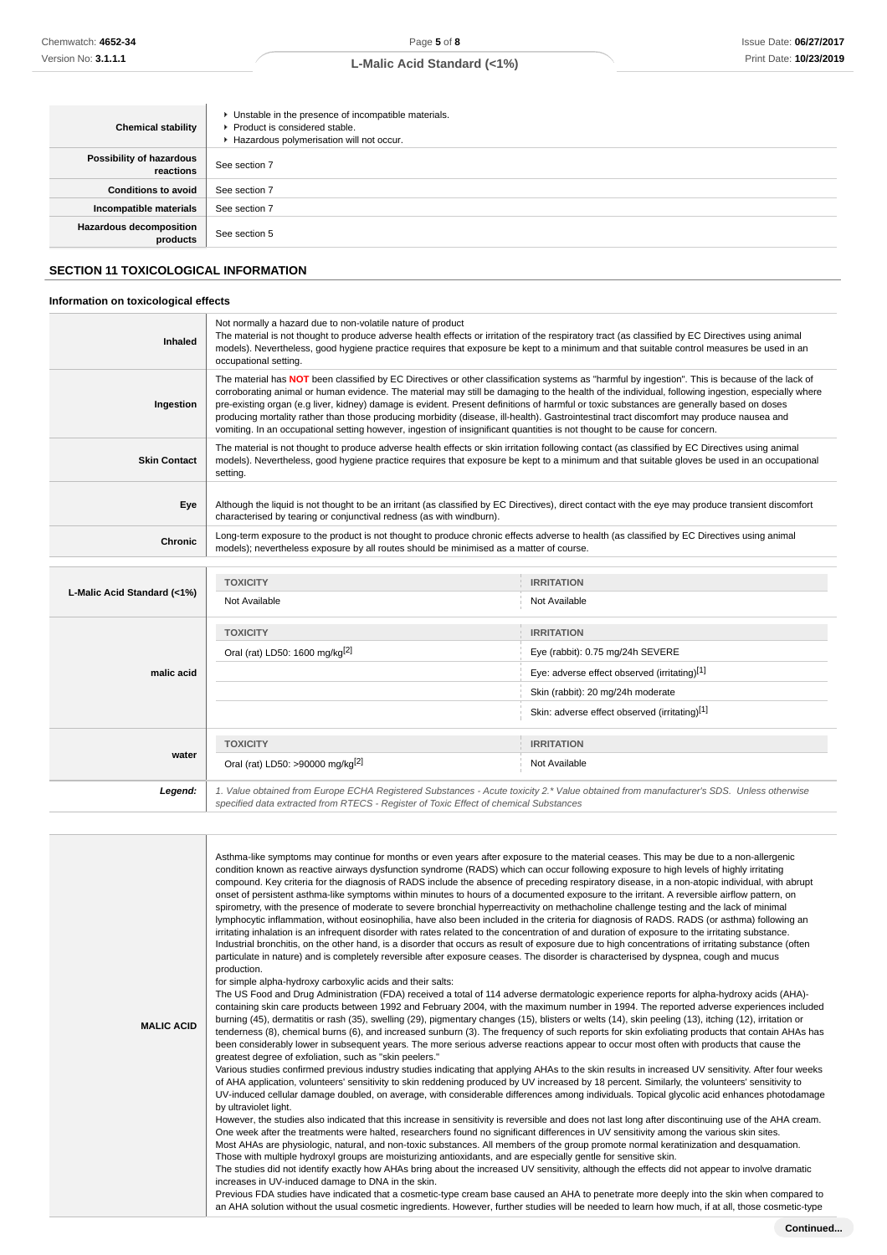| <b>Chemical stability</b>             | • Unstable in the presence of incompatible materials.<br>▶ Product is considered stable.<br>Hazardous polymerisation will not occur. |
|---------------------------------------|--------------------------------------------------------------------------------------------------------------------------------------|
| Possibility of hazardous<br>reactions | See section 7                                                                                                                        |
| <b>Conditions to avoid</b>            | See section 7                                                                                                                        |
| Incompatible materials                | See section 7                                                                                                                        |
| Hazardous decomposition<br>products   | See section 5                                                                                                                        |

# **SECTION 11 TOXICOLOGICAL INFORMATION**

# **Information on toxicological effects**

| Inhaled             | Not normally a hazard due to non-volatile nature of product<br>The material is not thought to produce adverse health effects or irritation of the respiratory tract (as classified by EC Directives using animal<br>models). Nevertheless, good hygiene practice requires that exposure be kept to a minimum and that suitable control measures be used in an<br>occupational setting.                                                                                                                                                                                                                                                                                                                                        |
|---------------------|-------------------------------------------------------------------------------------------------------------------------------------------------------------------------------------------------------------------------------------------------------------------------------------------------------------------------------------------------------------------------------------------------------------------------------------------------------------------------------------------------------------------------------------------------------------------------------------------------------------------------------------------------------------------------------------------------------------------------------|
| Ingestion           | The material has NOT been classified by EC Directives or other classification systems as "harmful by ingestion". This is because of the lack of<br>corroborating animal or human evidence. The material may still be damaging to the health of the individual, following ingestion, especially where<br>pre-existing organ (e.g liver, kidney) damage is evident. Present definitions of harmful or toxic substances are generally based on doses<br>producing mortality rather than those producing morbidity (disease, ill-health). Gastrointestinal tract discomfort may produce nausea and<br>vomiting. In an occupational setting however, ingestion of insignificant quantities is not thought to be cause for concern. |
| <b>Skin Contact</b> | The material is not thought to produce adverse health effects or skin irritation following contact (as classified by EC Directives using animal<br>models). Nevertheless, good hygiene practice requires that exposure be kept to a minimum and that suitable gloves be used in an occupational<br>setting.                                                                                                                                                                                                                                                                                                                                                                                                                   |
| Eye                 | Although the liquid is not thought to be an irritant (as classified by EC Directives), direct contact with the eye may produce transient discomfort<br>characterised by tearing or conjunctival redness (as with windburn).                                                                                                                                                                                                                                                                                                                                                                                                                                                                                                   |
| <b>Chronic</b>      | Long-term exposure to the product is not thought to produce chronic effects adverse to health (as classified by EC Directives using animal<br>models); nevertheless exposure by all routes should be minimised as a matter of course.                                                                                                                                                                                                                                                                                                                                                                                                                                                                                         |

|                             | <b>TOXICITY</b>                                                                                                                                                                                                                 | <b>IRRITATION</b>                             |  |
|-----------------------------|---------------------------------------------------------------------------------------------------------------------------------------------------------------------------------------------------------------------------------|-----------------------------------------------|--|
| L-Malic Acid Standard (<1%) | Not Available                                                                                                                                                                                                                   | Not Available                                 |  |
|                             | <b>TOXICITY</b>                                                                                                                                                                                                                 | <b>IRRITATION</b>                             |  |
|                             | Oral (rat) LD50: 1600 mg/kg <sup>[2]</sup>                                                                                                                                                                                      | Eye (rabbit): 0.75 mg/24h SEVERE              |  |
| malic acid                  |                                                                                                                                                                                                                                 | Eye: adverse effect observed (irritating)[1]  |  |
|                             |                                                                                                                                                                                                                                 | Skin (rabbit): 20 mg/24h moderate             |  |
|                             |                                                                                                                                                                                                                                 | Skin: adverse effect observed (irritating)[1] |  |
|                             | <b>TOXICITY</b>                                                                                                                                                                                                                 | <b>IRRITATION</b>                             |  |
| water                       | Oral (rat) LD50: >90000 mg/kg <sup>[2]</sup>                                                                                                                                                                                    | Not Available                                 |  |
| Legend:                     | 1. Value obtained from Europe ECHA Registered Substances - Acute toxicity 2.* Value obtained from manufacturer's SDS. Unless otherwise<br>specified data extracted from RTECS - Register of Toxic Effect of chemical Substances |                                               |  |

| <b>MALIC ACID</b> | Asthma-like symptoms may continue for months or even years after exposure to the material ceases. This may be due to a non-allergenic<br>condition known as reactive airways dysfunction syndrome (RADS) which can occur following exposure to high levels of highly irritating<br>compound. Key criteria for the diagnosis of RADS include the absence of preceding respiratory disease, in a non-atopic individual, with abrupt<br>onset of persistent asthma-like symptoms within minutes to hours of a documented exposure to the irritant. A reversible airflow pattern, on<br>spirometry, with the presence of moderate to severe bronchial hyperreactivity on methacholine challenge testing and the lack of minimal<br>lymphocytic inflammation, without eosinophilia, have also been included in the criteria for diagnosis of RADS. RADS (or asthma) following an<br>irritating inhalation is an infrequent disorder with rates related to the concentration of and duration of exposure to the irritating substance.<br>Industrial bronchitis, on the other hand, is a disorder that occurs as result of exposure due to high concentrations of irritating substance (often<br>particulate in nature) and is completely reversible after exposure ceases. The disorder is characterised by dyspnea, cough and mucus<br>production.<br>for simple alpha-hydroxy carboxylic acids and their salts:<br>The US Food and Drug Administration (FDA) received a total of 114 adverse dermatologic experience reports for alpha-hydroxy acids (AHA)-<br>containing skin care products between 1992 and February 2004, with the maximum number in 1994. The reported adverse experiences included<br>burning (45), dermatitis or rash (35), swelling (29), pigmentary changes (15), blisters or welts (14), skin peeling (13), itching (12), irritation or<br>tenderness (8), chemical burns (6), and increased sunburn (3). The frequency of such reports for skin exfoliating products that contain AHAs has<br>been considerably lower in subsequent years. The more serious adverse reactions appear to occur most often with products that cause the<br>greatest degree of exfoliation, such as "skin peelers."<br>Various studies confirmed previous industry studies indicating that applying AHAs to the skin results in increased UV sensitivity. After four weeks<br>of AHA application, volunteers' sensitivity to skin reddening produced by UV increased by 18 percent. Similarly, the volunteers' sensitivity to<br>UV-induced cellular damage doubled, on average, with considerable differences among individuals. Topical glycolic acid enhances photodamage<br>by ultraviolet light.<br>However, the studies also indicated that this increase in sensitivity is reversible and does not last long after discontinuing use of the AHA cream.<br>One week after the treatments were halted, researchers found no significant differences in UV sensitivity among the various skin sites.<br>Most AHAs are physiologic, natural, and non-toxic substances. All members of the group promote normal keratinization and desquamation.<br>Those with multiple hydroxyl groups are moisturizing antioxidants, and are especially gentle for sensitive skin.<br>The studies did not identify exactly how AHAs bring about the increased UV sensitivity, although the effects did not appear to involve dramatic<br>increases in UV-induced damage to DNA in the skin.<br>Previous FDA studies have indicated that a cosmetic-type cream base caused an AHA to penetrate more deeply into the skin when compared to<br>an AHA solution without the usual cosmetic ingredients. However, further studies will be needed to learn how much, if at all, those cosmetic-type |
|-------------------|--------------------------------------------------------------------------------------------------------------------------------------------------------------------------------------------------------------------------------------------------------------------------------------------------------------------------------------------------------------------------------------------------------------------------------------------------------------------------------------------------------------------------------------------------------------------------------------------------------------------------------------------------------------------------------------------------------------------------------------------------------------------------------------------------------------------------------------------------------------------------------------------------------------------------------------------------------------------------------------------------------------------------------------------------------------------------------------------------------------------------------------------------------------------------------------------------------------------------------------------------------------------------------------------------------------------------------------------------------------------------------------------------------------------------------------------------------------------------------------------------------------------------------------------------------------------------------------------------------------------------------------------------------------------------------------------------------------------------------------------------------------------------------------------------------------------------------------------------------------------------------------------------------------------------------------------------------------------------------------------------------------------------------------------------------------------------------------------------------------------------------------------------------------------------------------------------------------------------------------------------------------------------------------------------------------------------------------------------------------------------------------------------------------------------------------------------------------------------------------------------------------------------------------------------------------------------------------------------------------------------------------------------------------------------------------------------------------------------------------------------------------------------------------------------------------------------------------------------------------------------------------------------------------------------------------------------------------------------------------------------------------------------------------------------------------------------------------------------------------------------------------------------------------------------------------------------------------------------------------------------------------------------------------------------------------------------------------------------------------------------------------------------------------------------------------------------------------------------------------------------------------------------------------------------------------------------------------------------------------------------------------------------------------------------------------------------------------------------------------------------------------------------------------|
|-------------------|--------------------------------------------------------------------------------------------------------------------------------------------------------------------------------------------------------------------------------------------------------------------------------------------------------------------------------------------------------------------------------------------------------------------------------------------------------------------------------------------------------------------------------------------------------------------------------------------------------------------------------------------------------------------------------------------------------------------------------------------------------------------------------------------------------------------------------------------------------------------------------------------------------------------------------------------------------------------------------------------------------------------------------------------------------------------------------------------------------------------------------------------------------------------------------------------------------------------------------------------------------------------------------------------------------------------------------------------------------------------------------------------------------------------------------------------------------------------------------------------------------------------------------------------------------------------------------------------------------------------------------------------------------------------------------------------------------------------------------------------------------------------------------------------------------------------------------------------------------------------------------------------------------------------------------------------------------------------------------------------------------------------------------------------------------------------------------------------------------------------------------------------------------------------------------------------------------------------------------------------------------------------------------------------------------------------------------------------------------------------------------------------------------------------------------------------------------------------------------------------------------------------------------------------------------------------------------------------------------------------------------------------------------------------------------------------------------------------------------------------------------------------------------------------------------------------------------------------------------------------------------------------------------------------------------------------------------------------------------------------------------------------------------------------------------------------------------------------------------------------------------------------------------------------------------------------------------------------------------------------------------------------------------------------------------------------------------------------------------------------------------------------------------------------------------------------------------------------------------------------------------------------------------------------------------------------------------------------------------------------------------------------------------------------------------------------------------------------------------------------------------------------------------------|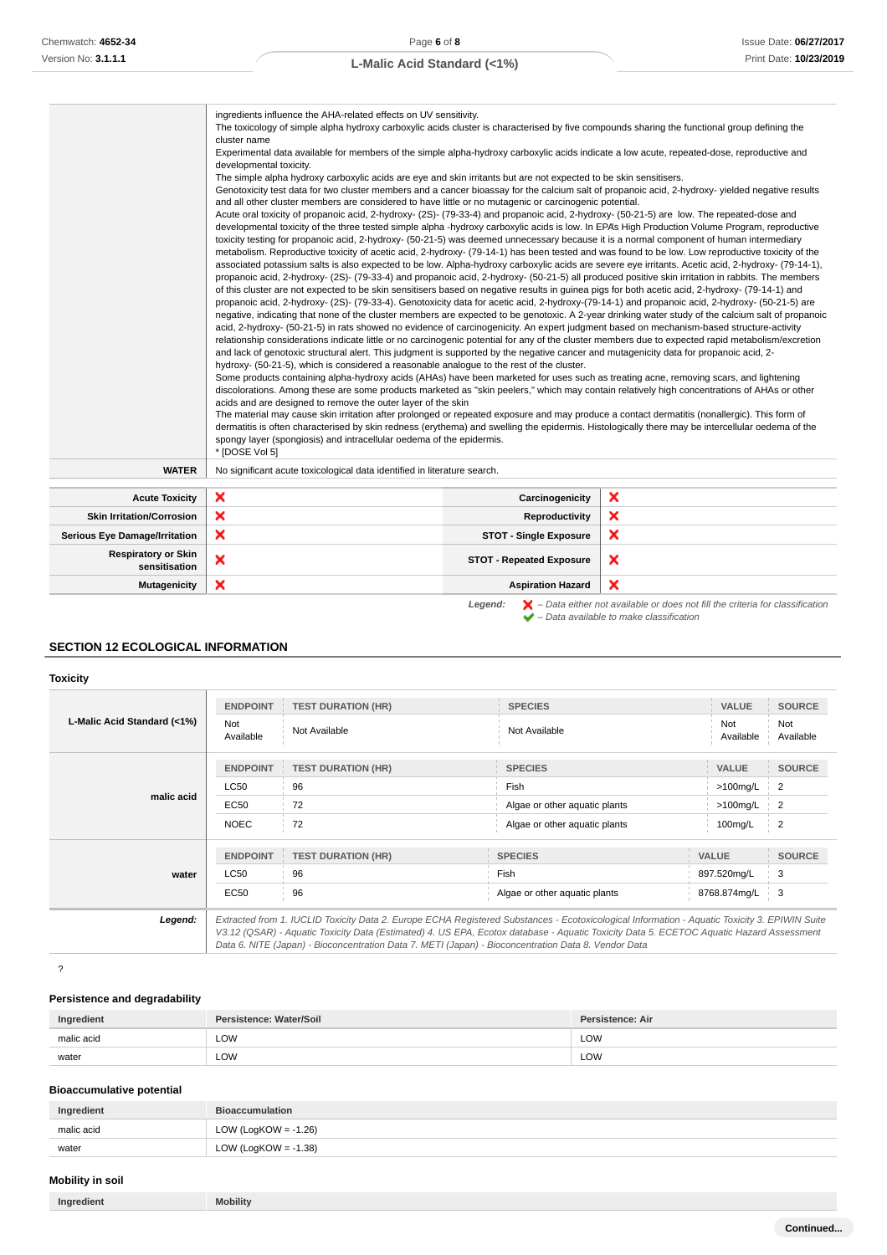|                                             | The toxicology of simple alpha hydroxy carboxylic acids cluster is characterised by five compounds sharing the functional group defining the<br>cluster name<br>Experimental data available for members of the simple alpha-hydroxy carboxylic acids indicate a low acute, repeated-dose, reproductive and<br>developmental toxicity.<br>The simple alpha hydroxy carboxylic acids are eye and skin irritants but are not expected to be skin sensitisers.<br>Genotoxicity test data for two cluster members and a cancer bioassay for the calcium salt of propanoic acid, 2-hydroxy- yielded negative results<br>and all other cluster members are considered to have little or no mutagenic or carcinogenic potential.<br>Acute oral toxicity of propanoic acid, 2-hydroxy- (2S)- (79-33-4) and propanoic acid, 2-hydroxy- (50-21-5) are low. The repeated-dose and<br>developmental toxicity of the three tested simple alpha -hydroxy carboxylic acids is low. In EPA's High Production Volume Program, reproductive<br>toxicity testing for propanoic acid, 2-hydroxy- (50-21-5) was deemed unnecessary because it is a normal component of human intermediary<br>metabolism. Reproductive toxicity of acetic acid, 2-hydroxy- (79-14-1) has been tested and was found to be low. Low reproductive toxicity of the<br>associated potassium salts is also expected to be low. Alpha-hydroxy carboxylic acids are severe eye irritants. Acetic acid, 2-hydroxy- (79-14-1),<br>propanoic acid, 2-hydroxy- (2S)- (79-33-4) and propanoic acid, 2-hydroxy- (50-21-5) all produced positive skin irritation in rabbits. The members<br>of this cluster are not expected to be skin sensitisers based on negative results in guinea pigs for both acetic acid, 2-hydroxy- (79-14-1) and<br>propanoic acid, 2-hydroxy- (2S)- (79-33-4). Genotoxicity data for acetic acid, 2-hydroxy-(79-14-1) and propanoic acid, 2-hydroxy- (50-21-5) are<br>negative, indicating that none of the cluster members are expected to be genotoxic. A 2-year drinking water study of the calcium salt of propanoic<br>acid, 2-hydroxy- (50-21-5) in rats showed no evidence of carcinogenicity. An expert judgment based on mechanism-based structure-activity<br>relationship considerations indicate little or no carcinogenic potential for any of the cluster members due to expected rapid metabolism/excretion<br>and lack of genotoxic structural alert. This judgment is supported by the negative cancer and mutagenicity data for propanoic acid, 2-<br>hydroxy- (50-21-5), which is considered a reasonable analogue to the rest of the cluster.<br>Some products containing alpha-hydroxy acids (AHAs) have been marketed for uses such as treating acne, removing scars, and lightening<br>discolorations. Among these are some products marketed as "skin peelers," which may contain relatively high concentrations of AHAs or other<br>acids and are designed to remove the outer layer of the skin<br>The material may cause skin irritation after prolonged or repeated exposure and may produce a contact dermatitis (nonallergic). This form of<br>dermatitis is often characterised by skin redness (erythema) and swelling the epidermis. Histologically there may be intercellular oedema of the<br>spongy layer (spongiosis) and intracellular oedema of the epidermis. |                                 |   |
|---------------------------------------------|-----------------------------------------------------------------------------------------------------------------------------------------------------------------------------------------------------------------------------------------------------------------------------------------------------------------------------------------------------------------------------------------------------------------------------------------------------------------------------------------------------------------------------------------------------------------------------------------------------------------------------------------------------------------------------------------------------------------------------------------------------------------------------------------------------------------------------------------------------------------------------------------------------------------------------------------------------------------------------------------------------------------------------------------------------------------------------------------------------------------------------------------------------------------------------------------------------------------------------------------------------------------------------------------------------------------------------------------------------------------------------------------------------------------------------------------------------------------------------------------------------------------------------------------------------------------------------------------------------------------------------------------------------------------------------------------------------------------------------------------------------------------------------------------------------------------------------------------------------------------------------------------------------------------------------------------------------------------------------------------------------------------------------------------------------------------------------------------------------------------------------------------------------------------------------------------------------------------------------------------------------------------------------------------------------------------------------------------------------------------------------------------------------------------------------------------------------------------------------------------------------------------------------------------------------------------------------------------------------------------------------------------------------------------------------------------------------------------------------------------------------------------------------------------------------------------------------------------------------------------------------------------------------------------------------------------------------------------------------------------------------------------------------------------------------------------------------------------------------------------------------------------------------------------------------------------------------------------------------------------------------------------------------------------------------------------------------------------------------------------------------|---------------------------------|---|
| <b>WATER</b>                                | * [DOSE Vol 5]                                                                                                                                                                                                                                                                                                                                                                                                                                                                                                                                                                                                                                                                                                                                                                                                                                                                                                                                                                                                                                                                                                                                                                                                                                                                                                                                                                                                                                                                                                                                                                                                                                                                                                                                                                                                                                                                                                                                                                                                                                                                                                                                                                                                                                                                                                                                                                                                                                                                                                                                                                                                                                                                                                                                                                                                                                                                                                                                                                                                                                                                                                                                                                                                                                                                                                                                                              |                                 |   |
|                                             | No significant acute toxicological data identified in literature search.                                                                                                                                                                                                                                                                                                                                                                                                                                                                                                                                                                                                                                                                                                                                                                                                                                                                                                                                                                                                                                                                                                                                                                                                                                                                                                                                                                                                                                                                                                                                                                                                                                                                                                                                                                                                                                                                                                                                                                                                                                                                                                                                                                                                                                                                                                                                                                                                                                                                                                                                                                                                                                                                                                                                                                                                                                                                                                                                                                                                                                                                                                                                                                                                                                                                                                    |                                 |   |
| <b>Acute Toxicity</b>                       | ×                                                                                                                                                                                                                                                                                                                                                                                                                                                                                                                                                                                                                                                                                                                                                                                                                                                                                                                                                                                                                                                                                                                                                                                                                                                                                                                                                                                                                                                                                                                                                                                                                                                                                                                                                                                                                                                                                                                                                                                                                                                                                                                                                                                                                                                                                                                                                                                                                                                                                                                                                                                                                                                                                                                                                                                                                                                                                                                                                                                                                                                                                                                                                                                                                                                                                                                                                                           | Carcinogenicity                 | × |
| <b>Skin Irritation/Corrosion</b>            | ×                                                                                                                                                                                                                                                                                                                                                                                                                                                                                                                                                                                                                                                                                                                                                                                                                                                                                                                                                                                                                                                                                                                                                                                                                                                                                                                                                                                                                                                                                                                                                                                                                                                                                                                                                                                                                                                                                                                                                                                                                                                                                                                                                                                                                                                                                                                                                                                                                                                                                                                                                                                                                                                                                                                                                                                                                                                                                                                                                                                                                                                                                                                                                                                                                                                                                                                                                                           | Reproductivity                  | × |
| <b>Serious Eye Damage/Irritation</b>        | ×                                                                                                                                                                                                                                                                                                                                                                                                                                                                                                                                                                                                                                                                                                                                                                                                                                                                                                                                                                                                                                                                                                                                                                                                                                                                                                                                                                                                                                                                                                                                                                                                                                                                                                                                                                                                                                                                                                                                                                                                                                                                                                                                                                                                                                                                                                                                                                                                                                                                                                                                                                                                                                                                                                                                                                                                                                                                                                                                                                                                                                                                                                                                                                                                                                                                                                                                                                           | <b>STOT - Single Exposure</b>   | × |
| <b>Respiratory or Skin</b><br>sensitisation | ×                                                                                                                                                                                                                                                                                                                                                                                                                                                                                                                                                                                                                                                                                                                                                                                                                                                                                                                                                                                                                                                                                                                                                                                                                                                                                                                                                                                                                                                                                                                                                                                                                                                                                                                                                                                                                                                                                                                                                                                                                                                                                                                                                                                                                                                                                                                                                                                                                                                                                                                                                                                                                                                                                                                                                                                                                                                                                                                                                                                                                                                                                                                                                                                                                                                                                                                                                                           | <b>STOT - Repeated Exposure</b> | × |

# **SECTION 12 ECOLOGICAL INFORMATION**

**Toxicity**

| L-Malic Acid Standard (<1%) | <b>ENDPOINT</b>  | <b>TEST DURATION (HR)</b> | <b>SPECIES</b>                                                                                                                                                                                                                                                                           |                  | <b>VALUE</b>   | <b>SOURCE</b>    |
|-----------------------------|------------------|---------------------------|------------------------------------------------------------------------------------------------------------------------------------------------------------------------------------------------------------------------------------------------------------------------------------------|------------------|----------------|------------------|
|                             | Not<br>Available | Not Available             | Not Available                                                                                                                                                                                                                                                                            | Not<br>Available |                | Not<br>Available |
|                             | <b>ENDPOINT</b>  | <b>TEST DURATION (HR)</b> | <b>SPECIES</b>                                                                                                                                                                                                                                                                           |                  | <b>VALUE</b>   | <b>SOURCE</b>    |
| malic acid                  | LC50             | 96                        | Fish                                                                                                                                                                                                                                                                                     | $>100$ mg/L      |                | $\overline{2}$   |
|                             | EC50             | 72                        | Algae or other aguatic plants                                                                                                                                                                                                                                                            | $>100$ mg/L      |                | -2               |
|                             | <b>NOEC</b>      | 72                        | Algae or other aguatic plants                                                                                                                                                                                                                                                            |                  | 100mg/L        | $\overline{2}$   |
|                             | <b>ENDPOINT</b>  | <b>TEST DURATION (HR)</b> | <b>SPECIES</b>                                                                                                                                                                                                                                                                           |                  | <b>VALUE</b>   | <b>SOURCE</b>    |
| water                       | <b>LC50</b>      | 96                        | Fish                                                                                                                                                                                                                                                                                     |                  | 897.520mg/L    | 3                |
|                             | <b>EC50</b>      | 96                        | Algae or other aquatic plants                                                                                                                                                                                                                                                            |                  | 8768.874mg/L 3 |                  |
| Legend:                     |                  |                           | Extracted from 1. IUCLID Toxicity Data 2. Europe ECHA Registered Substances - Ecotoxicological Information - Aquatic Toxicity 3. EPIWIN Suite<br>V3.12 (QSAR) - Aquatic Toxicity Data (Estimated) 4. US EPA, Ecotox database - Aquatic Toxicity Data 5. ECETOC Aquatic Hazard Assessment |                  |                |                  |

?

## **Persistence and degradability**

| Ingredient | Persistence: Water/Soil | <b>Persistence: Air</b> |
|------------|-------------------------|-------------------------|
| malic acid | LOW<br>___              | LOW                     |
| water      | LOW                     | LOW                     |

Data 6. NITE (Japan) - Bioconcentration Data 7. METI (Japan) - Bioconcentration Data 8. Vendor Data

## **Bioaccumulative potential**

| Ingredient | <b>Bioaccumulation</b>  |
|------------|-------------------------|
| malic acid | LOW (LogKOW = $-1.26$ ) |
| water      | LOW (LogKOW = $-1.38$ ) |

# **Mobility in soil**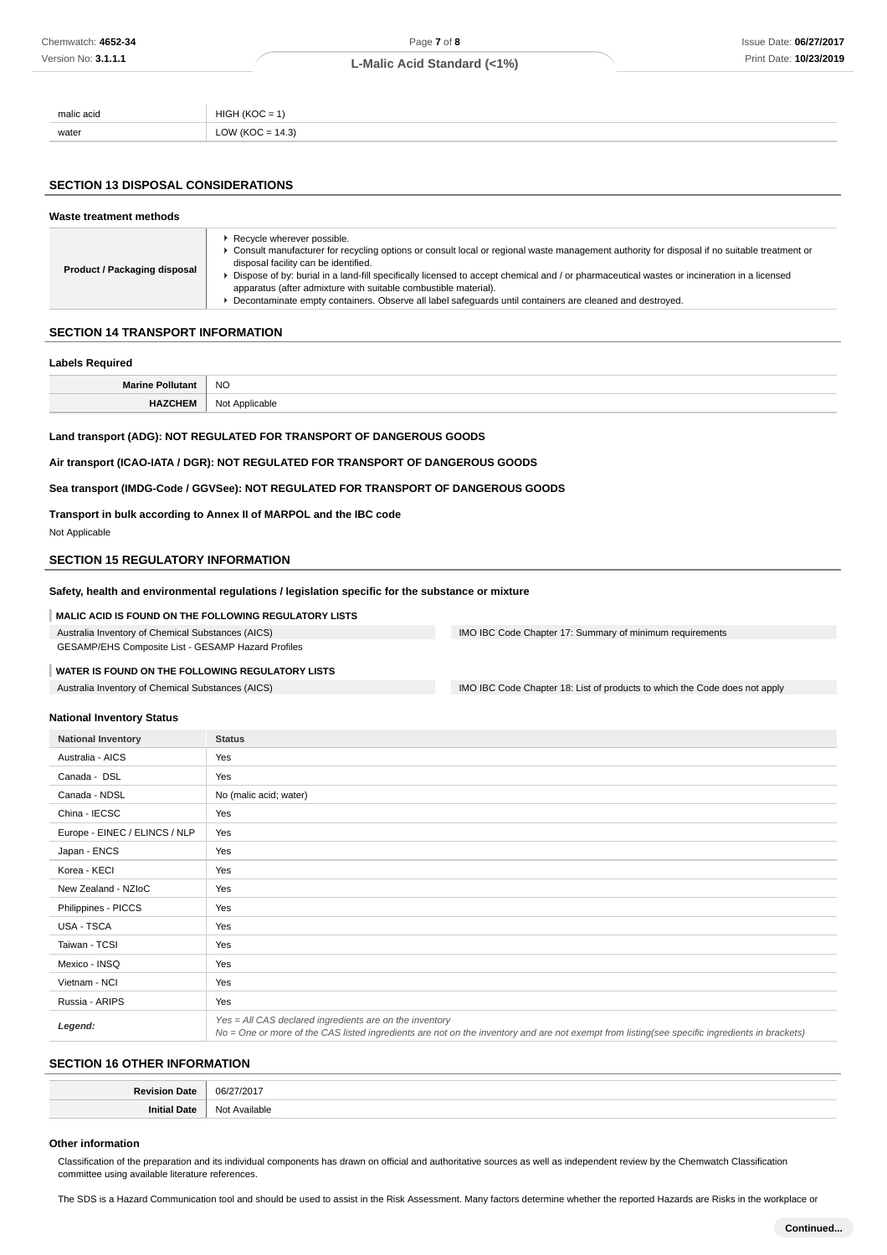| malic acid | (KOC<br>HIG<br>$\overline{\phantom{0}}$         |
|------------|-------------------------------------------------|
| water      | (4.3)<br>$^{\prime\prime}$<br>, بن ج<br>∼<br>__ |

## **SECTION 13 DISPOSAL CONSIDERATIONS**

| Waste treatment methods      |                                                                                                                                                                                                                                                                                                                                                                                                                                                                                                                                                    |
|------------------------------|----------------------------------------------------------------------------------------------------------------------------------------------------------------------------------------------------------------------------------------------------------------------------------------------------------------------------------------------------------------------------------------------------------------------------------------------------------------------------------------------------------------------------------------------------|
| Product / Packaging disposal | Recycle wherever possible.<br>► Consult manufacturer for recycling options or consult local or regional waste management authority for disposal if no suitable treatment or<br>disposal facility can be identified.<br>▶ Dispose of by: burial in a land-fill specifically licensed to accept chemical and / or pharmaceutical wastes or incineration in a licensed<br>apparatus (after admixture with suitable combustible material).<br>Decontaminate empty containers. Observe all label safeguards until containers are cleaned and destroyed. |

#### **SECTION 14 TRANSPORT INFORMATION**

#### **Labels Required**

| <b>Marine F</b> | <b>NO</b>          |
|-----------------|--------------------|
|                 | $\sim$             |
|                 | ∽י<br>cable<br>. . |

# **Land transport (ADG): NOT REGULATED FOR TRANSPORT OF DANGEROUS GOODS**

**Air transport (ICAO-IATA / DGR): NOT REGULATED FOR TRANSPORT OF DANGEROUS GOODS**

#### **Sea transport (IMDG-Code / GGVSee): NOT REGULATED FOR TRANSPORT OF DANGEROUS GOODS**

# **Transport in bulk according to Annex II of MARPOL and the IBC code**

Not Applicable

#### **SECTION 15 REGULATORY INFORMATION**

#### **Safety, health and environmental regulations / legislation specific for the substance or mixture**

#### **MALIC ACID IS FOUND ON THE FOLLOWING REGULATORY LISTS**

| Australia Inventory of Chemical Substances (AICS)  | IMO IBC Code Chapter 17: Summary of minimum requirements |
|----------------------------------------------------|----------------------------------------------------------|
| GESAMP/EHS Composite List - GESAMP Hazard Profiles |                                                          |

## **WATER IS FOUND ON THE FOLLOWING REGULATORY LISTS**

Australia Inventory of Chemical Substances (AICS) **IMO IBC Code Chapter 18: List of products to which the Code does not apply** 

#### **National Inventory Status**

| <b>National Inventory</b>     | <b>Status</b>                                                                                                                                                                                            |
|-------------------------------|----------------------------------------------------------------------------------------------------------------------------------------------------------------------------------------------------------|
| Australia - AICS              | Yes                                                                                                                                                                                                      |
| Canada - DSL                  | Yes                                                                                                                                                                                                      |
| Canada - NDSL                 | No (malic acid; water)                                                                                                                                                                                   |
| China - IECSC                 | Yes                                                                                                                                                                                                      |
| Europe - EINEC / ELINCS / NLP | Yes                                                                                                                                                                                                      |
| Japan - ENCS                  | Yes                                                                                                                                                                                                      |
| Korea - KECI                  | Yes                                                                                                                                                                                                      |
| New Zealand - NZloC           | Yes                                                                                                                                                                                                      |
| Philippines - PICCS           | Yes                                                                                                                                                                                                      |
| USA - TSCA                    | Yes                                                                                                                                                                                                      |
| Taiwan - TCSI                 | Yes                                                                                                                                                                                                      |
| Mexico - INSQ                 | Yes                                                                                                                                                                                                      |
| Vietnam - NCI                 | Yes                                                                                                                                                                                                      |
| Russia - ARIPS                | Yes                                                                                                                                                                                                      |
| Legend:                       | Yes = All CAS declared ingredients are on the inventory<br>No = One or more of the CAS listed ingredients are not on the inventory and are not exempt from listing(see specific ingredients in brackets) |

#### **SECTION 16 OTHER INFORMATION**

| <b>Povicion</b> | 06/2       |
|-----------------|------------|
| .               | 7201       |
|                 | 'able<br>. |

#### **Other information**

Classification of the preparation and its individual components has drawn on official and authoritative sources as well as independent review by the Chemwatch Classification committee using available literature references.

The SDS is a Hazard Communication tool and should be used to assist in the Risk Assessment. Many factors determine whether the reported Hazards are Risks in the workplace or